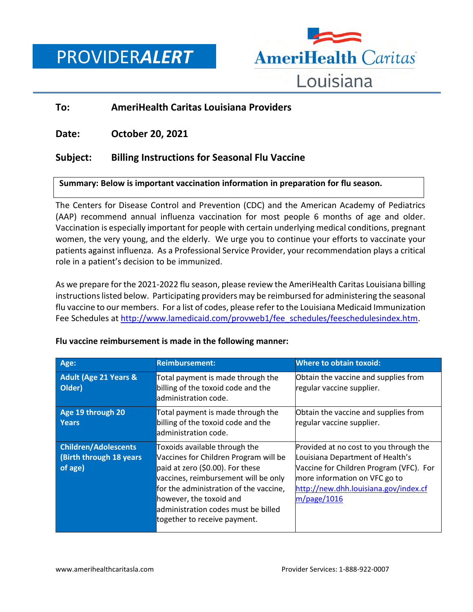PROVIDER*ALERT*



# **To: AmeriHealth Caritas Louisiana Providers**

**Date: October 20, 2021**

# **Subject: Billing Instructions for Seasonal Flu Vaccine**

### **Summary: Below is important vaccination information in preparation for flu season.**

The Centers for Disease Control and Prevention (CDC) and the American Academy of Pediatrics (AAP) recommend annual influenza vaccination for most people 6 months of age and older. Vaccination is especially important for people with certain underlying medical conditions, pregnant women, the very young, and the elderly. We urge you to continue your efforts to vaccinate your patients against influenza. As a Professional Service Provider, your recommendation plays a critical role in a patient's decision to be immunized.

As we prepare for the 2021-2022 flu season, please review the AmeriHealth Caritas Louisiana billing instructions listed below. Participating providers may be reimbursed for administering the seasonal flu vaccine to our members. For a list of codes, please refer to the Louisiana Medicaid Immunization Fee Schedules at [http://www.lamedicaid.com/provweb1/fee\\_schedules/feeschedulesindex.htm.](http://www.lamedicaid.com/provweb1/fee_schedules/feeschedulesindex.htm)

| Age:                                                               | <b>Reimbursement:</b>                                                                                                                                                                                                                                                                           | <b>Where to obtain toxoid:</b>                                                                                                                                                                                    |
|--------------------------------------------------------------------|-------------------------------------------------------------------------------------------------------------------------------------------------------------------------------------------------------------------------------------------------------------------------------------------------|-------------------------------------------------------------------------------------------------------------------------------------------------------------------------------------------------------------------|
| <b>Adult (Age 21 Years &amp;</b><br>Older)                         | Total payment is made through the<br>billing of the toxoid code and the<br>administration code.                                                                                                                                                                                                 | Obtain the vaccine and supplies from<br>regular vaccine supplier.                                                                                                                                                 |
| Age 19 through 20<br><b>Years</b>                                  | Total payment is made through the<br>billing of the toxoid code and the<br>administration code.                                                                                                                                                                                                 | Obtain the vaccine and supplies from<br>regular vaccine supplier.                                                                                                                                                 |
| <b>Children/Adolescents</b><br>(Birth through 18 years)<br>of age) | Toxoids available through the<br>Vaccines for Children Program will be<br>paid at zero (\$0.00). For these<br>vaccines, reimbursement will be only<br>for the administration of the vaccine,<br>however, the toxoid and<br>ladministration codes must be billed<br>together to receive payment. | Provided at no cost to you through the<br>Louisiana Department of Health's<br>Vaccine for Children Program (VFC). For<br>more information on VFC go to<br>http://new.dhh.louisiana.gov/index.cf<br>$m$ /page/1016 |

### **Flu vaccine reimbursement is made in the following manner:**